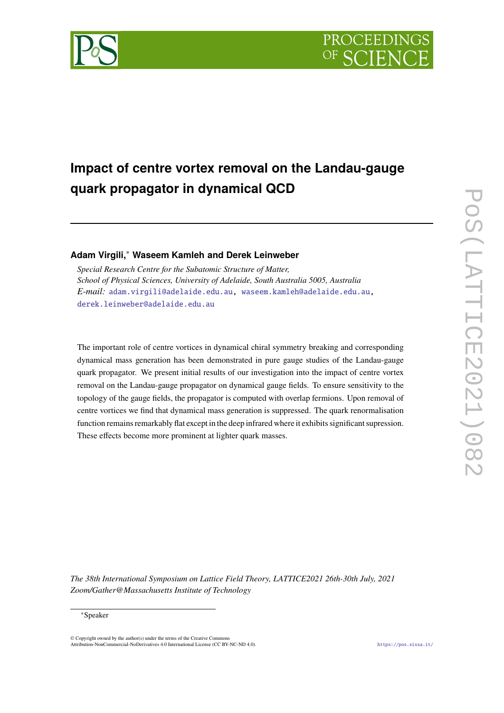

# **Impact of centre vortex removal on the Landau-gauge quark propagator in dynamical QCD**

# **Adam Virgili,**<sup>∗</sup> **Waseem Kamleh and Derek Leinweber**

*Special Research Centre for the Subatomic Structure of Matter, School of Physical Sciences, University of Adelaide, South Australia 5005, Australia E-mail:* [adam.virgili@adelaide.edu.au,](mailto:adam.virgili@adelaide.edu.au) [waseem.kamleh@adelaide.edu.au,](mailto:waseem.kamleh@adelaide.edu.au) [derek.leinweber@adelaide.edu.au](mailto:derek.leinweber@adelaide.edu.au)

The important role of centre vortices in dynamical chiral symmetry breaking and corresponding dynamical mass generation has been demonstrated in pure gauge studies of the Landau-gauge quark propagator. We present initial results of our investigation into the impact of centre vortex removal on the Landau-gauge propagator on dynamical gauge fields. To ensure sensitivity to the topology of the gauge fields, the propagator is computed with overlap fermions. Upon removal of centre vortices we find that dynamical mass generation is suppressed. The quark renormalisation function remains remarkably flat except in the deep infrared where it exhibits significant supression. These effects become more prominent at lighter quark masses.

*The 38th International Symposium on Lattice Field Theory, LATTICE2021 26th-30th July, 2021 Zoom/Gather@Massachusetts Institute of Technology*

#### <sup>∗</sup>Speaker

 $\odot$  Copyright owned by the author(s) under the terms of the Creative Common Attribution-NonCommercial-NoDerivatives 4.0 International License (CC BY-NC-ND 4.0). <https://pos.sissa.it/>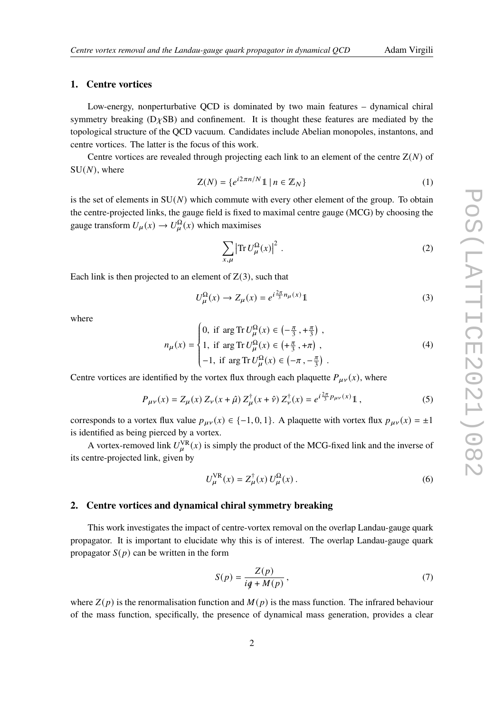### **1. Centre vortices**

Low-energy, nonperturbative QCD is dominated by two main features – dynamical chiral symmetry breaking  $(D \chi SB)$  and confinement. It is thought these features are mediated by the topological structure of the QCD vacuum. Candidates include Abelian monopoles, instantons, and centre vortices. The latter is the focus of this work.

Centre vortices are revealed through projecting each link to an element of the centre  $Z(N)$  of  $SU(N)$ , where

$$
Z(N) = \{e^{i2\pi n/N}1 \mid n \in \mathbb{Z}_N\}
$$
 (1)

is the set of elements in  $SU(N)$  which commute with every other element of the group. To obtain the centre-projected links, the gauge field is fixed to maximal centre gauge (MCG) by choosing the gauge transform  $U_{\mu}(x) \to U^{\Omega}_{\mu}(x)$  which maximises

$$
\sum_{x,\mu} \left| \text{Tr} \, U^{\Omega}_{\mu}(x) \right|^2 \,. \tag{2}
$$

Each link is then projected to an element of  $Z(3)$ , such that

$$
U^{\Omega}_{\mu}(x) \to Z_{\mu}(x) = e^{i\frac{2\pi}{3}n_{\mu}(x)}\mathbb{1}
$$
\n(3)

where

$$
n_{\mu}(x) = \begin{cases} 0, & \text{if } \arg \text{Tr } U_{\mu}^{\Omega}(x) \in \left(-\frac{\pi}{3}, +\frac{\pi}{3}\right), \\ 1, & \text{if } \arg \text{Tr } U_{\mu}^{\Omega}(x) \in \left(+\frac{\pi}{3}, +\pi\right), \\ -1, & \text{if } \arg \text{Tr } U_{\mu}^{\Omega}(x) \in \left(-\pi, -\frac{\pi}{3}\right). \end{cases}
$$
(4)

Centre vortices are identified by the vortex flux through each plaquette  $P_{\mu\nu}(x)$ , where

$$
P_{\mu\nu}(x) = Z_{\mu}(x) \, Z_{\nu}(x+\hat{\mu}) \, Z_{\mu}^{\dagger}(x+\hat{\nu}) \, Z_{\nu}^{\dagger}(x) = e^{i\frac{2\pi}{3}p_{\mu\nu}(x)} \mathbb{1} \,, \tag{5}
$$

corresponds to a vortex flux value  $p_{\mu\nu}(x) \in \{-1, 0, 1\}$ . A plaquette with vortex flux  $p_{\mu\nu}(x) = \pm 1$ is identified as being pierced by a vortex.

A vortex-removed link  $U_u^{\text{VR}}(x)$  is simply the product of the MCG-fixed link and the inverse of its centre-projected link, given by

$$
U_{\mu}^{\text{VR}}(x) = Z_{\mu}^{\dagger}(x) U_{\mu}^{\Omega}(x) \,. \tag{6}
$$

# **2. Centre vortices and dynamical chiral symmetry breaking**

This work investigates the impact of centre-vortex removal on the overlap Landau-gauge quark propagator. It is important to elucidate why this is of interest. The overlap Landau-gauge quark propagator  $S(p)$  can be written in the form

<span id="page-1-0"></span>
$$
S(p) = \frac{Z(p)}{iq + M(p)},
$$
\n(7)

where  $Z(p)$  is the renormalisation function and  $M(p)$  is the mass function. The infrared behaviour of the mass function, specifically, the presence of dynamical mass generation, provides a clear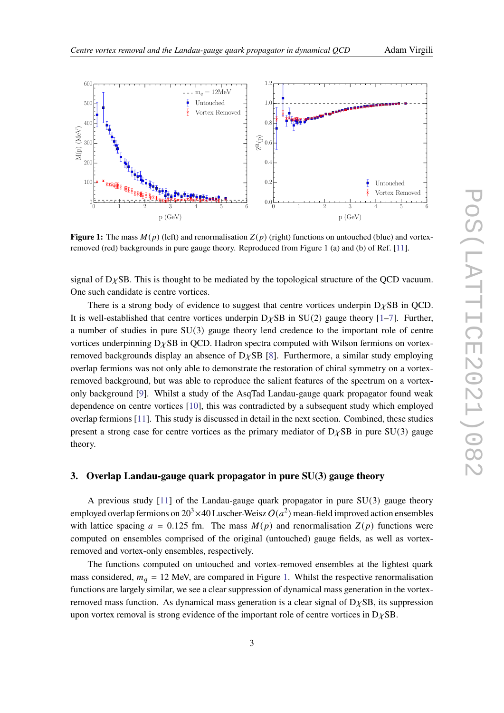<span id="page-2-0"></span>

**Figure 1:** The mass  $M(p)$  (left) and renormalisation  $Z(p)$  (right) functions on untouched (blue) and vortexremoved (red) backgrounds in pure gauge theory. Reproduced from Figure 1 (a) and (b) of Ref. [\[11\]](#page-6-0).

signal of  $D<sub>X</sub>SB$ . This is thought to be mediated by the topological structure of the QCD vacuum. One such candidate is centre vortices.

There is a strong body of evidence to suggest that centre vortices underpin  $D\chi SB$  in QCD. It is well-established that centre vortices underpin  $D\chi SB$  in SU(2) gauge theory [\[1](#page-6-1)[–7\]](#page-6-2). Further, a number of studies in pure SU(3) gauge theory lend credence to the important role of centre vortices underpinning  $D<sub>X</sub>SB$  in QCD. Hadron spectra computed with Wilson fermions on vortexremoved backgrounds display an absence of  $D\chi SB$  [\[8\]](#page-6-3). Furthermore, a similar study employing overlap fermions was not only able to demonstrate the restoration of chiral symmetry on a vortexremoved background, but was able to reproduce the salient features of the spectrum on a vortexonly background [\[9\]](#page-6-4). Whilst a study of the AsqTad Landau-gauge quark propagator found weak dependence on centre vortices [\[10\]](#page-6-5), this was contradicted by a subsequent study which employed overlap fermions [\[11\]](#page-6-0). This study is discussed in detail in the next section. Combined, these studies present a strong case for centre vortices as the primary mediator of  $D<sub>X</sub>SB$  in pure SU(3) gauge theory.

# <span id="page-2-1"></span>**3. Overlap Landau-gauge quark propagator in pure SU(3) gauge theory**

A previous study [\[11\]](#page-6-0) of the Landau-gauge quark propagator in pure SU(3) gauge theory employed overlap fermions on 20<sup>3</sup>  $\times$  40 Luscher-Weisz  $O(a^2)$  mean-field improved action ensembles with lattice spacing  $a = 0.125$  fm. The mass  $M(p)$  and renormalisation  $Z(p)$  functions were computed on ensembles comprised of the original (untouched) gauge fields, as well as vortexremoved and vortex-only ensembles, respectively.

The functions computed on untouched and vortex-removed ensembles at the lightest quark mass considered,  $m_q = 12$  MeV, are compared in Figure [1.](#page-2-0) Whilst the respective renormalisation functions are largely similar, we see a clear suppression of dynamical mass generation in the vortexremoved mass function. As dynamical mass generation is a clear signal of  $D<sub>X</sub>SB$ , its suppression upon vortex removal is strong evidence of the important role of centre vortices in  $D\chi SB$ .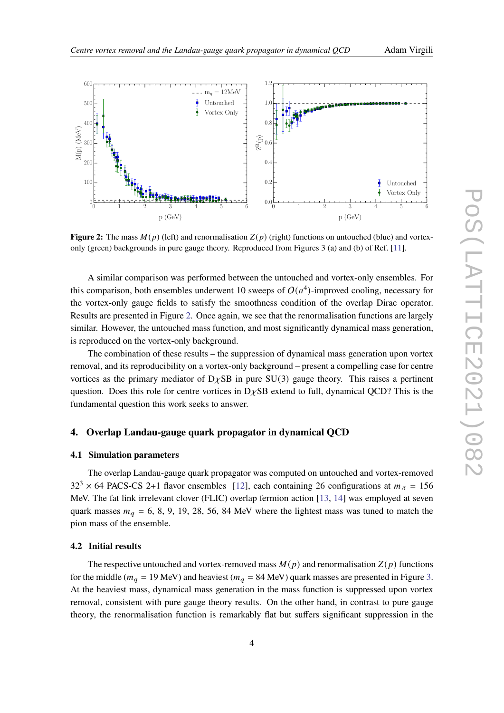<span id="page-3-0"></span>

**Figure 2:** The mass  $M(p)$  (left) and renormalisation  $Z(p)$  (right) functions on untouched (blue) and vortexonly (green) backgrounds in pure gauge theory. Reproduced from Figures 3 (a) and (b) of Ref. [\[11\]](#page-6-0).

A similar comparison was performed between the untouched and vortex-only ensembles. For this comparison, both ensembles underwent 10 sweeps of  $O(a^4)$ -improved cooling, necessary for the vortex-only gauge fields to satisfy the smoothness condition of the overlap Dirac operator. Results are presented in Figure [2.](#page-3-0) Once again, we see that the renormalisation functions are largely similar. However, the untouched mass function, and most significantly dynamical mass generation, is reproduced on the vortex-only background.

The combination of these results – the suppression of dynamical mass generation upon vortex removal, and its reproducibility on a vortex-only background – present a compelling case for centre vortices as the primary mediator of  $D\chi SB$  in pure SU(3) gauge theory. This raises a pertinent question. Does this role for centre vortices in  $D\chi$ SB extend to full, dynamical QCD? This is the fundamental question this work seeks to answer.

# **4. Overlap Landau-gauge quark propagator in dynamical QCD**

### **4.1 Simulation parameters**

The overlap Landau-gauge quark propagator was computed on untouched and vortex-removed  $32<sup>3</sup> \times 64$  PACS-CS 2+1 flavor ensembles [\[12\]](#page-6-6), each containing 26 configurations at  $m<sub>\pi</sub> = 156$ MeV. The fat link irrelevant clover (FLIC) overlap fermion action [\[13,](#page-6-7) [14\]](#page-7-0) was employed at seven quark masses  $m_q = 6, 8, 9, 19, 28, 56, 84$  MeV where the lightest mass was tuned to match the pion mass of the ensemble.

#### **4.2 Initial results**

The respective untouched and vortex-removed mass  $M(p)$  and renormalisation  $Z(p)$  functions for the middle ( $m_q = 19$  MeV) and heaviest ( $m_q = 84$  MeV) quark masses are presented in Figure [3.](#page-4-0) At the heaviest mass, dynamical mass generation in the mass function is suppressed upon vortex removal, consistent with pure gauge theory results. On the other hand, in contrast to pure gauge theory, the renormalisation function is remarkably flat but suffers significant suppression in the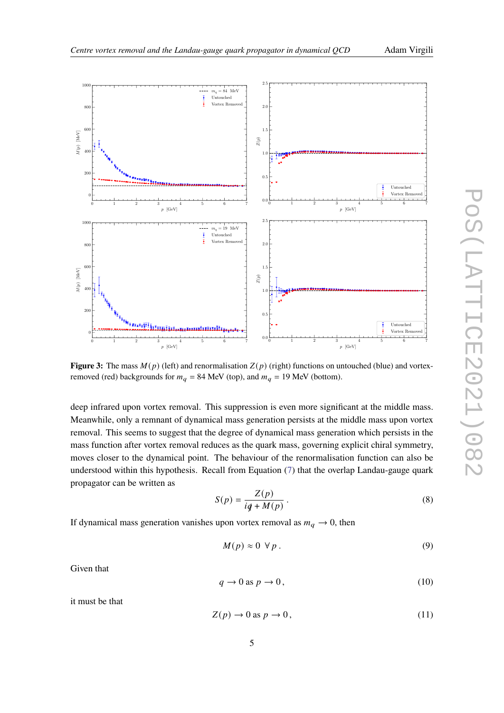<span id="page-4-0"></span>

**Figure 3:** The mass  $M(p)$  (left) and renormalisation  $Z(p)$  (right) functions on untouched (blue) and vortexremoved (red) backgrounds for  $m_q = 84$  MeV (top), and  $m_q = 19$  MeV (bottom).

deep infrared upon vortex removal. This suppression is even more significant at the middle mass. Meanwhile, only a remnant of dynamical mass generation persists at the middle mass upon vortex removal. This seems to suggest that the degree of dynamical mass generation which persists in the mass function after vortex removal reduces as the quark mass, governing explicit chiral symmetry, moves closer to the dynamical point. The behaviour of the renormalisation function can also be understood within this hypothesis. Recall from Equation [\(7\)](#page-1-0) that the overlap Landau-gauge quark propagator can be written as

$$
S(p) = \frac{Z(p)}{iq + M(p)}.
$$
\n(8)

If dynamical mass generation vanishes upon vortex removal as  $m_q \to 0$ , then

$$
M(p) \approx 0 \ \forall \, p \,.
$$

Given that

$$
q \to 0 \text{ as } p \to 0,
$$
\n<sup>(10)</sup>

it must be that

$$
Z(p) \to 0 \text{ as } p \to 0,
$$
\n(11)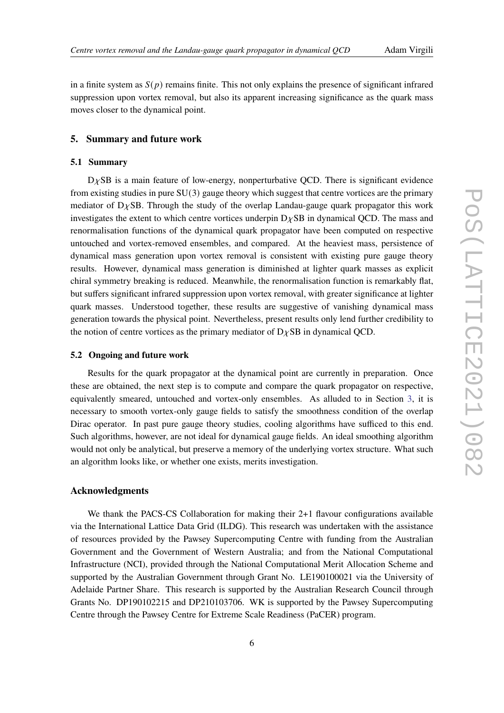in a finite system as  $S(p)$  remains finite. This not only explains the presence of significant infrared suppression upon vortex removal, but also its apparent increasing significance as the quark mass moves closer to the dynamical point.

# **5. Summary and future work**

# **5.1 Summary**

 $D\chi$ SB is a main feature of low-energy, nonperturbative QCD. There is significant evidence from existing studies in pure SU(3) gauge theory which suggest that centre vortices are the primary mediator of  $D<sub>X</sub>SB$ . Through the study of the overlap Landau-gauge quark propagator this work investigates the extent to which centre vortices underpin  $D<sub>X</sub>SB$  in dynamical QCD. The mass and renormalisation functions of the dynamical quark propagator have been computed on respective untouched and vortex-removed ensembles, and compared. At the heaviest mass, persistence of dynamical mass generation upon vortex removal is consistent with existing pure gauge theory results. However, dynamical mass generation is diminished at lighter quark masses as explicit chiral symmetry breaking is reduced. Meanwhile, the renormalisation function is remarkably flat, but suffers significant infrared suppression upon vortex removal, with greater significance at lighter quark masses. Understood together, these results are suggestive of vanishing dynamical mass generation towards the physical point. Nevertheless, present results only lend further credibility to the notion of centre vortices as the primary mediator of  $D<sub>X</sub>SB$  in dynamical QCD.

### **5.2 Ongoing and future work**

Results for the quark propagator at the dynamical point are currently in preparation. Once these are obtained, the next step is to compute and compare the quark propagator on respective, equivalently smeared, untouched and vortex-only ensembles. As alluded to in Section [3,](#page-2-1) it is necessary to smooth vortex-only gauge fields to satisfy the smoothness condition of the overlap Dirac operator. In past pure gauge theory studies, cooling algorithms have sufficed to this end. Such algorithms, however, are not ideal for dynamical gauge fields. An ideal smoothing algorithm would not only be analytical, but preserve a memory of the underlying vortex structure. What such an algorithm looks like, or whether one exists, merits investigation.

# **Acknowledgments**

We thank the PACS-CS Collaboration for making their 2+1 flavour configurations available via the International Lattice Data Grid (ILDG). This research was undertaken with the assistance of resources provided by the Pawsey Supercomputing Centre with funding from the Australian Government and the Government of Western Australia; and from the National Computational Infrastructure (NCI), provided through the National Computational Merit Allocation Scheme and supported by the Australian Government through Grant No. LE190100021 via the University of Adelaide Partner Share. This research is supported by the Australian Research Council through Grants No. DP190102215 and DP210103706. WK is supported by the Pawsey Supercomputing Centre through the Pawsey Centre for Extreme Scale Readiness (PaCER) program.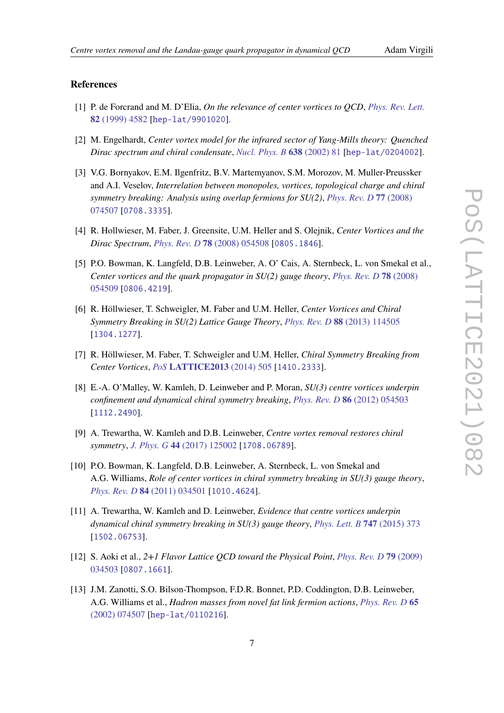# **References**

- <span id="page-6-1"></span>[1] P. de Forcrand and M. D'Elia, *On the relevance of center vortices to QCD*, *[Phys. Rev. Lett.](https://doi.org/10.1103/PhysRevLett.82.4582)* **82** [\(1999\) 4582](https://doi.org/10.1103/PhysRevLett.82.4582) [[hep-lat/9901020](https://arxiv.org/abs/hep-lat/9901020)].
- [2] M. Engelhardt, *Center vortex model for the infrared sector of Yang-Mills theory: Quenched Dirac spectrum and chiral condensate*, *[Nucl. Phys. B](https://doi.org/10.1016/S0550-3213(02)00470-4)* **638** (2002) 81 [[hep-lat/0204002](https://arxiv.org/abs/hep-lat/0204002)].
- [3] V.G. Bornyakov, E.M. Ilgenfritz, B.V. Martemyanov, S.M. Morozov, M. Muller-Preussker and A.I. Veselov, *Interrelation between monopoles, vortices, topological charge and chiral symmetry breaking: Analysis using overlap fermions for SU(2)*, *[Phys. Rev. D](https://doi.org/10.1103/PhysRevD.77.074507)* **77** (2008) [074507](https://doi.org/10.1103/PhysRevD.77.074507) [[0708.3335](https://arxiv.org/abs/0708.3335)].
- [4] R. Hollwieser, M. Faber, J. Greensite, U.M. Heller and S. Olejnik, *Center Vortices and the Dirac Spectrum*, *Phys. Rev. D* **78** [\(2008\) 054508](https://doi.org/10.1103/PhysRevD.78.054508) [[0805.1846](https://arxiv.org/abs/0805.1846)].
- [5] P.O. Bowman, K. Langfeld, D.B. Leinweber, A. O' Cais, A. Sternbeck, L. von Smekal et al., *Center vortices and the quark propagator in SU(2) gauge theory*, *[Phys. Rev. D](https://doi.org/10.1103/PhysRevD.78.054509)* **78** (2008) [054509](https://doi.org/10.1103/PhysRevD.78.054509) [[0806.4219](https://arxiv.org/abs/0806.4219)].
- [6] R. Höllwieser, T. Schweigler, M. Faber and U.M. Heller, *Center Vortices and Chiral Symmetry Breaking in SU(2) Lattice Gauge Theory*, *Phys. Rev. D* **88** [\(2013\) 114505](https://doi.org/10.1103/PhysRevD.88.114505) [[1304.1277](https://arxiv.org/abs/1304.1277)].
- <span id="page-6-2"></span>[7] R. Höllwieser, M. Faber, T. Schweigler and U.M. Heller, *Chiral Symmetry Breaking from Center Vortices*, *PoS* **[LATTICE2013](https://doi.org/10.22323/1.187.0505)** (2014) 505 [[1410.2333](https://arxiv.org/abs/1410.2333)].
- <span id="page-6-3"></span>[8] E.-A. O'Malley, W. Kamleh, D. Leinweber and P. Moran, *SU(3) centre vortices underpin confinement and dynamical chiral symmetry breaking*, *Phys. Rev. D* **86** [\(2012\) 054503](https://doi.org/10.1103/PhysRevD.86.054503) [[1112.2490](https://arxiv.org/abs/1112.2490)].
- <span id="page-6-4"></span>[9] A. Trewartha, W. Kamleh and D.B. Leinweber, *Centre vortex removal restores chiral symmetry*, *J. Phys. G* **44** [\(2017\) 125002](https://doi.org/10.1088/1361-6471/aa9443) [[1708.06789](https://arxiv.org/abs/1708.06789)].
- <span id="page-6-5"></span>[10] P.O. Bowman, K. Langfeld, D.B. Leinweber, A. Sternbeck, L. von Smekal and A.G. Williams, *Role of center vortices in chiral symmetry breaking in SU(3) gauge theory*, *Phys. Rev. D* **84** [\(2011\) 034501](https://doi.org/10.1103/PhysRevD.84.034501) [[1010.4624](https://arxiv.org/abs/1010.4624)].
- <span id="page-6-0"></span>[11] A. Trewartha, W. Kamleh and D. Leinweber, *Evidence that centre vortices underpin dynamical chiral symmetry breaking in SU(3) gauge theory*, *[Phys. Lett. B](https://doi.org/10.1016/j.physletb.2015.06.025)* **747** (2015) 373 [[1502.06753](https://arxiv.org/abs/1502.06753)].
- <span id="page-6-6"></span>[12] S. Aoki et al., *2+1 Flavor Lattice QCD toward the Physical Point*, *[Phys. Rev. D](https://doi.org/10.1103/PhysRevD.79.034503)* **79** (2009) [034503](https://doi.org/10.1103/PhysRevD.79.034503) [[0807.1661](https://arxiv.org/abs/0807.1661)].
- <span id="page-6-7"></span>[13] J.M. Zanotti, S.O. Bilson-Thompson, F.D.R. Bonnet, P.D. Coddington, D.B. Leinweber, A.G. Williams et al., *Hadron masses from novel fat link fermion actions*, *[Phys. Rev. D](https://doi.org/10.1103/PhysRevD.65.074507)* **65** [\(2002\) 074507](https://doi.org/10.1103/PhysRevD.65.074507) [[hep-lat/0110216](https://arxiv.org/abs/hep-lat/0110216)].